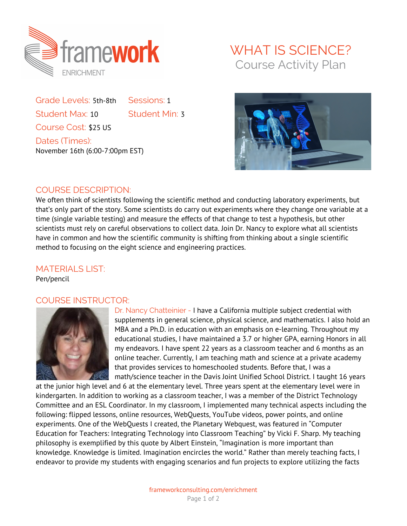

Grade Levels: 5th-8th Sessions: 1 Student Max: 10 Student Min: 3 Course Cost: \$25 US Dates (Times): November 16th (6:00-7:00pm EST)

## WHAT IS SCIENCE? Course Activity Plan



## COURSE DESCRIPTION:

We often think of scientists following the scientific method and conducting laboratory experiments, but that's only part of the story. Some scientists do carry out experiments where they change one variable at a time (single variable testing) and measure the effects of that change to test a hypothesis, but other scientists must rely on careful observations to collect data. Join Dr. Nancy to explore what all scientists have in common and how the scientific community is shifting from thinking about a single scientific method to focusing on the eight science and engineering practices.

## MATERIALS LIST:

Pen/pencil

## COURSE INSTRUCTOR:



Dr. Nancy Chatteinier - I have a California multiple subject credential with supplements in general science, physical science, and mathematics. I also hold an MBA and a Ph.D. in education with an emphasis on e-learning. Throughout my educational studies, I have maintained a 3.7 or higher GPA, earning Honors in all my endeavors. I have spent 22 years as a classroom teacher and 6 months as an online teacher. Currently, I am teaching math and science at a private academy that provides services to homeschooled students. Before that, I was a math/science teacher in the Davis Joint Unified School District. I taught 16 years

at the junior high level and 6 at the elementary level. Three years spent at the elementary level were in kindergarten. In addition to working as a classroom teacher, I was a member of the District Technology Committee and an ESL Coordinator. In my classroom, I implemented many technical aspects including the following: flipped lessons, online resources, WebQuests, YouTube videos, power points, and online experiments. One of the WebQuests I created, the Planetary Webquest, was featured in "Computer Education for Teachers: Integrating Technology into Classroom Teaching" by Vicki F. Sharp. My teaching philosophy is exemplified by this quote by Albert Einstein, "Imagination is more important than knowledge. Knowledge is limited. Imagination encircles the world." Rather than merely teaching facts, I endeavor to provide my students with engaging scenarios and fun projects to explore utilizing the facts